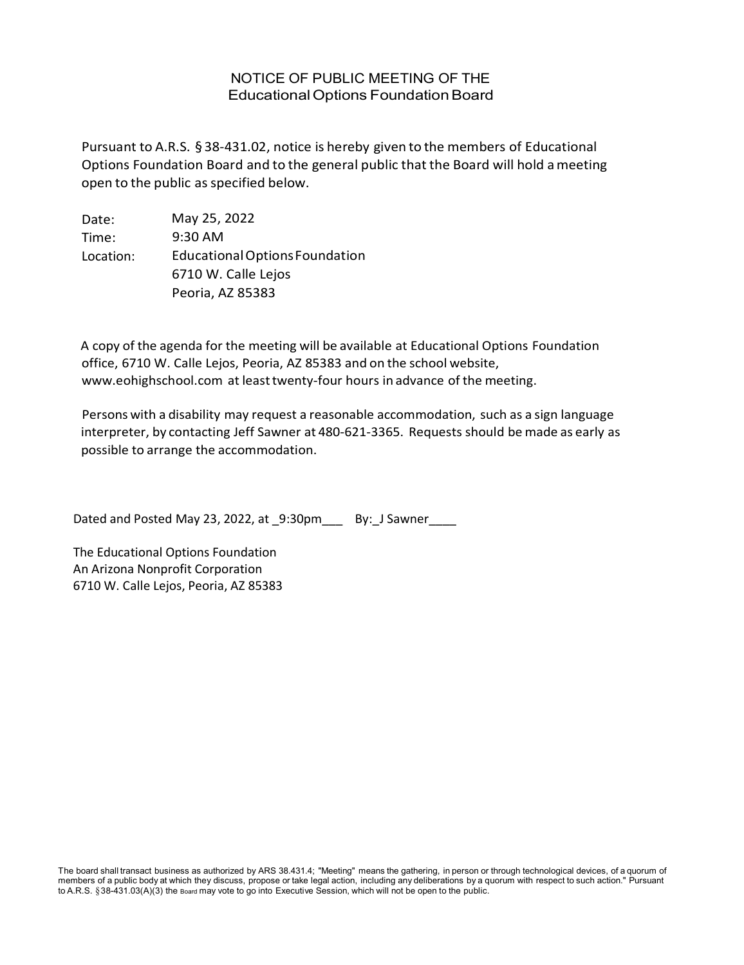## NOTICE OF PUBLIC MEETING OF THE EducationalOptions FoundationBoard

Pursuant to A.R.S. §38-431.02, notice is hereby given to the members of Educational Options Foundation Board and to the general public that the Board will hold ameeting open to the public as specified below.

Date: Time: Location: May 25, 2022 9:30 AM EducationalOptionsFoundation 6710 W. Calle Lejos Peoria, AZ 85383

A copy of the agenda for the meeting will be available at Educational Options Foundation office, 6710 W. Calle Lejos, Peoria, AZ 85383 and on the school website, [www.eohighschool.com](http://www.eohighschool.com/) at leasttwenty-four hours in advance of the meeting.

Persons with a disability may request a reasonable accommodation, such as a sign language interpreter, by contacting Jeff Sawner at 480-621-3365. Requests should be made as early as possible to arrange the accommodation.

Dated and Posted May 23, 2022, at 9:30pm By: J Sawner

The Educational Options Foundation An Arizona Nonprofit Corporation 6710 W. Calle Lejos, Peoria, AZ 85383